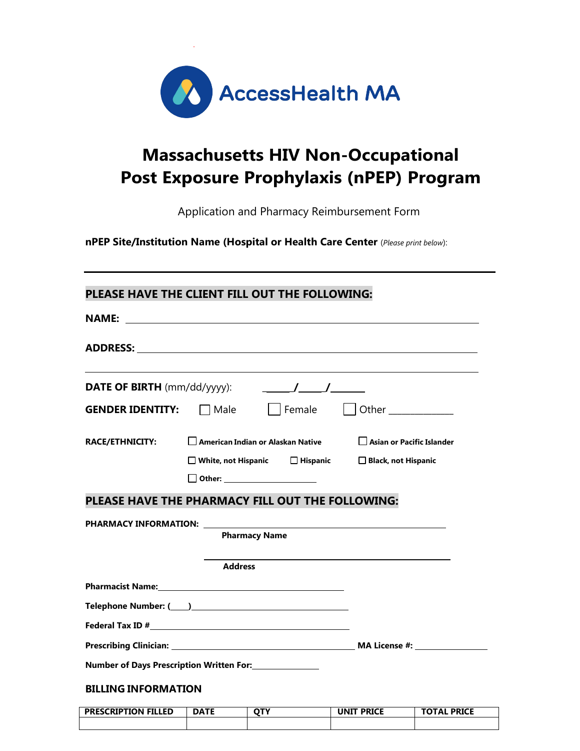

# **Massachusetts HIV Non-Occupational Post Exposure Prophylaxis (nPEP) Program**

Application and Pharmacy Reimbursement Form

**nPEP Site/Institution Name (Hospital or Health Care Center** (*Please print below*):

# **PLEASE HAVE THE CLIENT FILL OUT THE FOLLOWING:**

|                            | ADDRESS: AND AND AND AND ANNUAL AND ANNUAL AND ANNUAL AND ANNUAL AND ANNUAL AND ANNUAL AND ANNUAL AND ANNUAL A        |                                  |  |
|----------------------------|-----------------------------------------------------------------------------------------------------------------------|----------------------------------|--|
|                            |                                                                                                                       |                                  |  |
|                            | <b>GENDER IDENTITY:</b> Male Female Other                                                                             |                                  |  |
| <b>RACE/ETHNICITY:</b>     | $\Box$ American Indian or Alaskan Native                                                                              | $\Box$ Asian or Pacific Islander |  |
|                            | □ White, not Hispanic □ Hispanic □ Black, not Hispanic                                                                |                                  |  |
|                            | Other: ______________________                                                                                         |                                  |  |
|                            | PLEASE HAVE THE PHARMACY FILL OUT THE FOLLOWING:                                                                      |                                  |  |
|                            | <b>Pharmacy Name</b>                                                                                                  |                                  |  |
|                            | <b>Address</b>                                                                                                        |                                  |  |
|                            | <b>Pharmacist Name:</b> Name: 2008 2009 2012 2023 2024 2022 2023 2024 2022 2023 2024 2022 2023 2024 2022 2024 2022 20 |                                  |  |
|                            |                                                                                                                       |                                  |  |
|                            |                                                                                                                       |                                  |  |
|                            |                                                                                                                       |                                  |  |
|                            |                                                                                                                       |                                  |  |
| <b>BILLING INFORMATION</b> |                                                                                                                       |                                  |  |

| <b>PRESCRIPTION FILLED</b> | DATE | ^™ | <b>UNIT PRICE</b> | <b>TOTAL PRICE</b> |
|----------------------------|------|----|-------------------|--------------------|
|                            |      |    |                   |                    |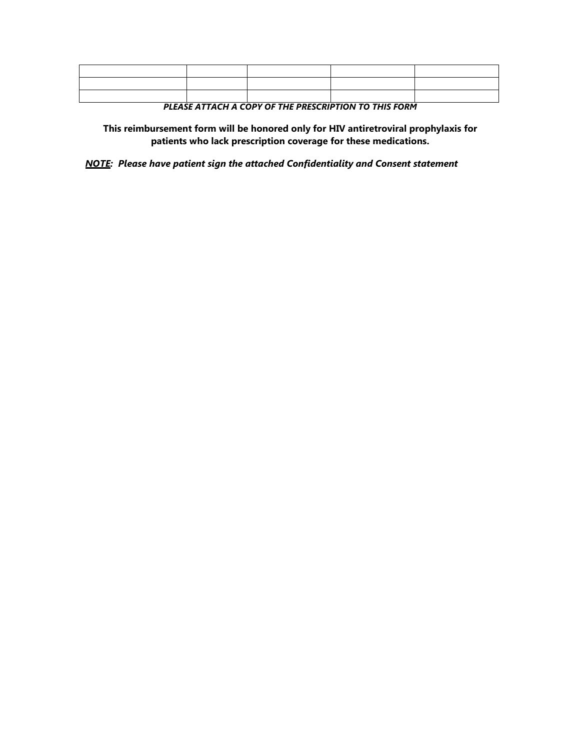*PLEASE ATTACH A COPY OF THE PRESCRIPTION TO THIS FORM*

**This reimbursement form will be honored only for HIV antiretroviral prophylaxis for patients who lack prescription coverage for these medications.**

*NOTE: Please have patient sign the attached Confidentiality and Consent statement*